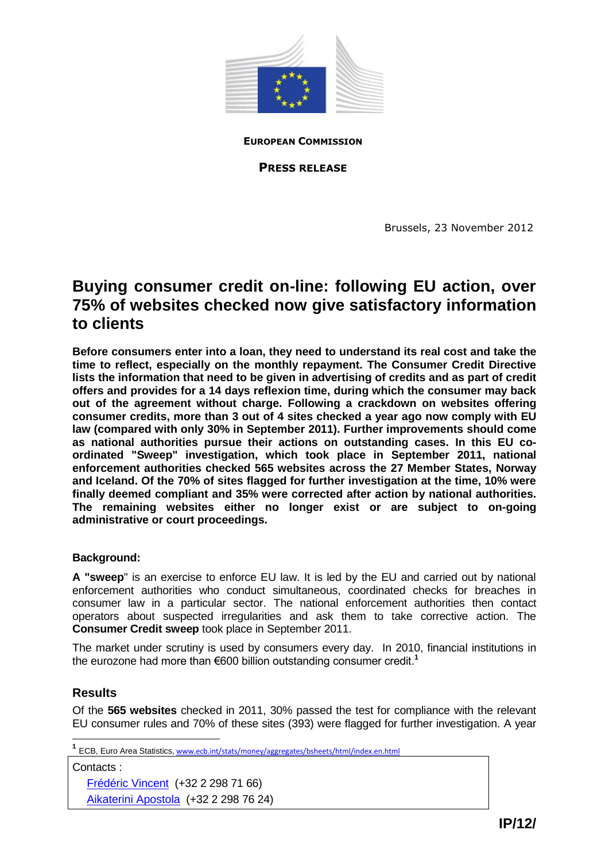

**EUROPEAN COMMISSION**

**PRESS RELEASE**

Brussels, 23 November 2012

# **Buying consumer credit on-line: following EU action, over 75% of websites checked now give satisfactory information to clients**

**Before consumers enter into a loan, they need to understand its real cost and take the time to reflect, especially on the monthly repayment. The Consumer Credit Directive lists the information that need to be given in advertising of credits and as part of credit offers and provides for a 14 days reflexion time, during which the consumer may back out of the agreement without charge. Following a crackdown on websites offering consumer credits, more than 3 out of 4 sites checked a year ago now comply with EU law (compared with only 30% in September 2011). Further improvements should come as national authorities pursue their actions on outstanding cases. In this EU coordinated "Sweep" investigation, which took place in September 2011, national enforcement authorities checked 565 websites across the 27 Member States, Norway and Iceland. Of the 70% of sites flagged for further investigation at the time, 10% were finally deemed compliant and 35% were corrected after action by national authorities. The remaining websites either no longer exist or are subject to on-going administrative or court proceedings.** 

### **Background:**

**A "sweep**" is an exercise to enforce EU law. It is led by the EU and carried out by national enforcement authorities who conduct simultaneous, coordinated checks for breaches in consumer law in a particular sector. The national enforcement authorities then contact operators about suspected irregularities and ask them to take corrective action. The **Consumer Credit sweep** took place in September 2011.

The market under scrutiny is used by consumers every day. In 2010, financial institutions in the eurozone had more than €600 billion outstanding consumer credit.<sup>1</sup>

### **Results**

Of the **565 websites** checked in 2011, 30% passed the test for compliance with the relevant EU consumer rules and 70% of these sites (393) were flagged for further investigation. A year

Contacts : Frédéric Vincent (+32 2 298 71 66)

Aikaterini Apostola (+32 2 298 76 24)

 **1** ECB, Euro Area Statistics, [www.ecb.int/stats/money/aggregates/bsheets/html/index.en.html](http://www.ecb.int/stats/money/aggregates/bsheets/html/index.en.html)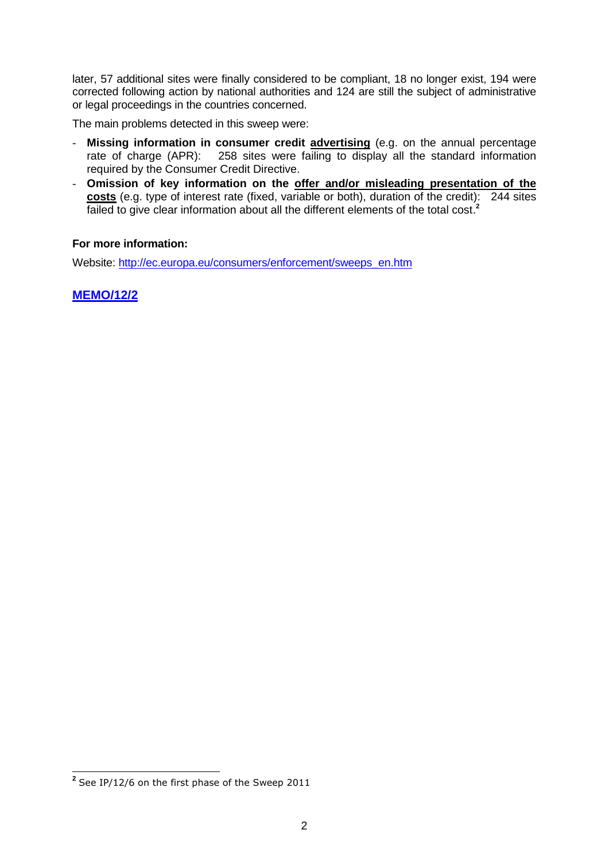later, 57 additional sites were finally considered to be compliant, 18 no longer exist, 194 were corrected following action by national authorities and 124 are still the subject of administrative or legal proceedings in the countries concerned.

The main problems detected in this sweep were:

- **Missing information in consumer credit advertising** (e.g. on the annual percentage rate of charge (APR): 258 sites were failing to display all the standard information required by the Consumer Credit Directive.
- **Omission of key information on the offer and/or misleading presentation of the costs** (e.g. type of interest rate (fixed, variable or both), duration of the credit): 244 sites failed to give clear information about all the different elements of the total cost. **2**

### **For more information:**

Website: [http://ec.europa.eu/consumers/enforcement/sweeps\\_en.htm](http://ec.europa.eu/consumers/enforcement/sweeps_en.htm)

**MEMO/12/2**

 **2** See IP/12/6 on the first phase of the Sweep 2011